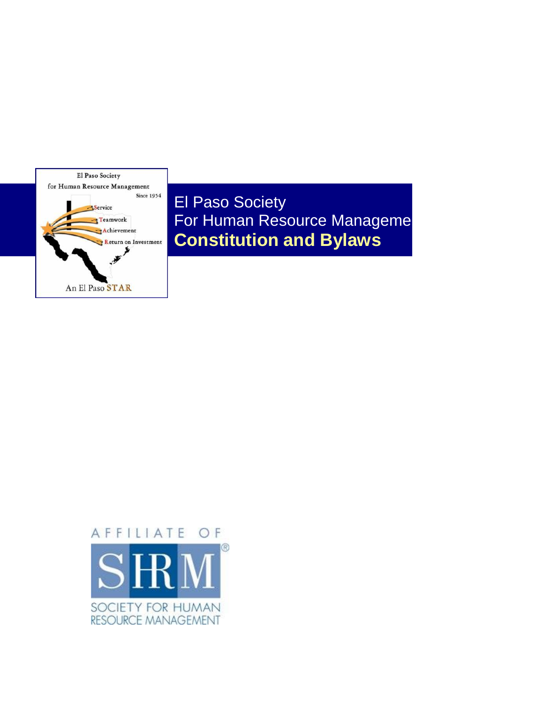

El Paso Society For Human Resource Manageme **Constitution and Bylaws**

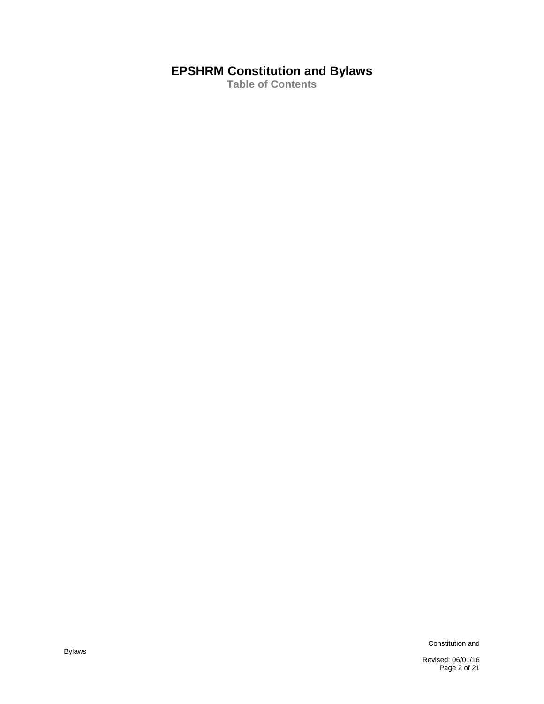# **EPSHRM Constitution and Bylaws**

**Table of Contents**

Constitution and

Revised: 06/01/16 Page 2 of 21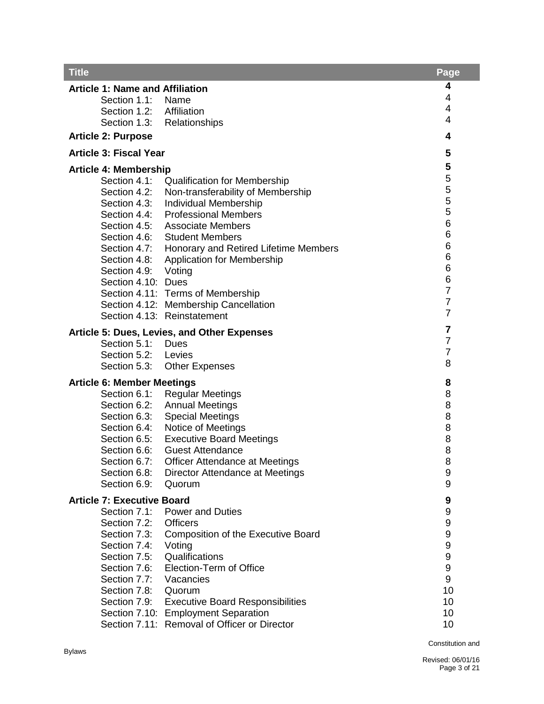| <b>Title</b>                                                                                   | Page                    |
|------------------------------------------------------------------------------------------------|-------------------------|
| <b>Article 1: Name and Affiliation</b>                                                         | 4                       |
| Section 1.1:<br>Name                                                                           | 4                       |
| Section 1.2: Affiliation                                                                       | 4                       |
| Section 1.3: Relationships                                                                     | 4                       |
| <b>Article 2: Purpose</b>                                                                      | 4                       |
| <b>Article 3: Fiscal Year</b>                                                                  | 5                       |
| <b>Article 4: Membership</b>                                                                   | 5                       |
| Section 4.1:<br><b>Qualification for Membership</b>                                            | 5                       |
| Section 4.2:<br>Non-transferability of Membership                                              | 5                       |
| <b>Individual Membership</b><br>Section 4.3:                                                   | 5                       |
| <b>Professional Members</b><br>Section 4.4:                                                    | 5                       |
| <b>Associate Members</b><br>Section 4.5:                                                       | $\,6$<br>6              |
| Section 4.6:<br><b>Student Members</b>                                                         | 6                       |
| Section 4.7:<br>Honorary and Retired Lifetime Members                                          | 6                       |
| Section 4.8:<br><b>Application for Membership</b><br>Section 4.9:                              | 6                       |
| Voting<br>Section 4.10: Dues                                                                   | 6                       |
| Section 4.11: Terms of Membership                                                              | $\overline{7}$          |
| Section 4.12: Membership Cancellation                                                          | $\overline{7}$          |
| Section 4.13: Reinstatement                                                                    | $\overline{7}$          |
| <b>Article 5: Dues, Levies, and Other Expenses</b>                                             | $\overline{\mathbf{7}}$ |
| Section 5.1:<br>Dues                                                                           | $\overline{7}$          |
| Section 5.2:<br>Levies                                                                         | $\overline{7}$          |
| Section 5.3:<br><b>Other Expenses</b>                                                          | 8                       |
| <b>Article 6: Member Meetings</b>                                                              | 8                       |
| Section 6.1:<br><b>Regular Meetings</b>                                                        | 8                       |
| <b>Annual Meetings</b><br>Section 6.2:                                                         | 8                       |
| <b>Special Meetings</b><br>Section 6.3:                                                        | 8                       |
| Notice of Meetings<br>Section 6.4:                                                             | 8                       |
| <b>Executive Board Meetings</b><br>Section 6.5:                                                | 8                       |
| Section 6.6:<br><b>Guest Attendance</b><br><b>Officer Attendance at Meetings</b>               | 8<br>8                  |
| Section 6.7:<br>Section 6.8:<br>Director Attendance at Meetings                                | 9                       |
| Section 6.9:<br>Quorum                                                                         | 9                       |
| <b>Article 7: Executive Board</b>                                                              | 9                       |
| Section 7.1:<br><b>Power and Duties</b>                                                        | 9                       |
| Section 7.2:<br><b>Officers</b>                                                                | 9                       |
| Section 7.3:<br><b>Composition of the Executive Board</b>                                      | 9                       |
| Section 7.4:<br>Voting                                                                         | $\boldsymbol{9}$        |
| Qualifications<br>Section 7.5:                                                                 | $\boldsymbol{9}$        |
| Section 7.6:<br>Election-Term of Office                                                        | $\boldsymbol{9}$        |
| Section 7.7:<br>Vacancies                                                                      | 9                       |
| Section 7.8:<br>Quorum                                                                         | 10                      |
| Section 7.9:<br><b>Executive Board Responsibilities</b><br>Section 7.10: Employment Separation | 10<br>10                |
| Section 7.11: Removal of Officer or Director                                                   | 10                      |
|                                                                                                |                         |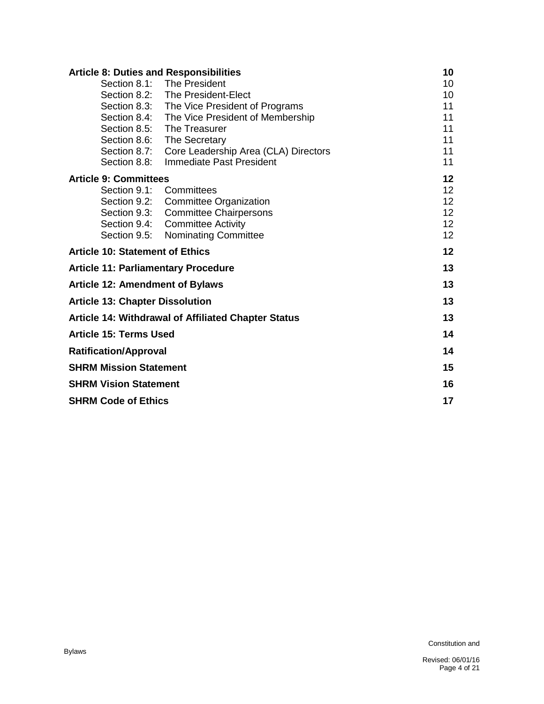| <b>Article 8: Duties and Responsibilities</b> |                                                            | 10              |
|-----------------------------------------------|------------------------------------------------------------|-----------------|
|                                               | Section 8.1: The President                                 | 10              |
|                                               | Section 8.2: The President-Elect                           | 10              |
|                                               | Section 8.3: The Vice President of Programs                | 11              |
|                                               | Section 8.4: The Vice President of Membership              | 11              |
|                                               | Section 8.5: The Treasurer                                 | 11              |
| Section 8.6:                                  | <b>The Secretary</b>                                       | 11              |
| Section 8.7:                                  | Core Leadership Area (CLA) Directors                       | 11              |
| Section 8.8:                                  | Immediate Past President                                   | 11              |
| <b>Article 9: Committees</b>                  |                                                            | 12              |
|                                               | Section 9.1: Committees                                    | 12 <sub>2</sub> |
|                                               | Section 9.2: Committee Organization                        | 12 <sub>2</sub> |
| Section 9.3:                                  | <b>Committee Chairpersons</b>                              | 12 <sup>2</sup> |
|                                               | Section 9.4: Committee Activity                            | 12 <sup>2</sup> |
| Section 9.5:                                  | <b>Nominating Committee</b>                                | 12 <sup>2</sup> |
| <b>Article 10: Statement of Ethics</b>        |                                                            | 12              |
| <b>Article 11: Parliamentary Procedure</b>    |                                                            | 13              |
| <b>Article 12: Amendment of Bylaws</b>        |                                                            | 13              |
| <b>Article 13: Chapter Dissolution</b>        |                                                            | 13              |
|                                               | <b>Article 14: Withdrawal of Affiliated Chapter Status</b> | 13              |
| <b>Article 15: Terms Used</b>                 |                                                            | 14              |
| <b>Ratification/Approval</b>                  |                                                            | 14              |
| <b>SHRM Mission Statement</b>                 |                                                            | 15              |
| <b>SHRM Vision Statement</b>                  |                                                            | 16              |
| <b>SHRM Code of Ethics</b>                    |                                                            | 17              |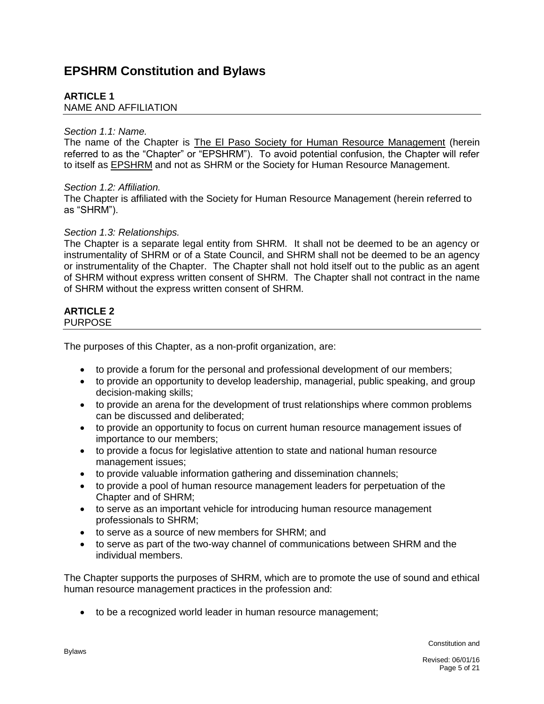# **EPSHRM Constitution and Bylaws**

# **ARTICLE 1**

NAME AND AFFILIATION

### *Section 1.1: Name.*

The name of the Chapter is The El Paso Society for Human Resource Management (herein referred to as the "Chapter" or "EPSHRM"). To avoid potential confusion, the Chapter will refer to itself as **EPSHRM** and not as SHRM or the Society for Human Resource Management.

# *Section 1.2: Affiliation.*

The Chapter is affiliated with the Society for Human Resource Management (herein referred to as "SHRM").

# *Section 1.3: Relationships.*

The Chapter is a separate legal entity from SHRM. It shall not be deemed to be an agency or instrumentality of SHRM or of a State Council, and SHRM shall not be deemed to be an agency or instrumentality of the Chapter. The Chapter shall not hold itself out to the public as an agent of SHRM without express written consent of SHRM. The Chapter shall not contract in the name of SHRM without the express written consent of SHRM.

# **ARTICLE 2**

PURPOSE

The purposes of this Chapter, as a non-profit organization, are:

- to provide a forum for the personal and professional development of our members;
- to provide an opportunity to develop leadership, managerial, public speaking, and group decision-making skills;
- to provide an arena for the development of trust relationships where common problems can be discussed and deliberated;
- to provide an opportunity to focus on current human resource management issues of importance to our members;
- to provide a focus for legislative attention to state and national human resource management issues;
- to provide valuable information gathering and dissemination channels;
- to provide a pool of human resource management leaders for perpetuation of the Chapter and of SHRM;
- to serve as an important vehicle for introducing human resource management professionals to SHRM;
- to serve as a source of new members for SHRM; and
- to serve as part of the two-way channel of communications between SHRM and the individual members.

The Chapter supports the purposes of SHRM, which are to promote the use of sound and ethical human resource management practices in the profession and:

to be a recognized world leader in human resource management;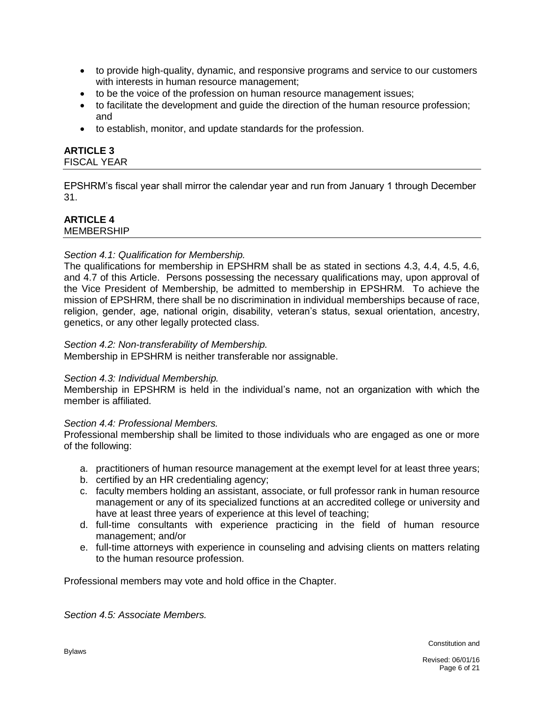- to provide high-quality, dynamic, and responsive programs and service to our customers with interests in human resource management;
- to be the voice of the profession on human resource management issues;
- to facilitate the development and quide the direction of the human resource profession: and
- to establish, monitor, and update standards for the profession.

# **ARTICLE 3**

# FISCAL YEAR

EPSHRM's fiscal year shall mirror the calendar year and run from January 1 through December 31.

# **ARTICLE 4**

MEMBERSHIP

# *Section 4.1: Qualification for Membership.*

The qualifications for membership in EPSHRM shall be as stated in sections 4.3, 4.4, 4.5, 4.6, and 4.7 of this Article. Persons possessing the necessary qualifications may, upon approval of the Vice President of Membership, be admitted to membership in EPSHRM. To achieve the mission of EPSHRM, there shall be no discrimination in individual memberships because of race, religion, gender, age, national origin, disability, veteran's status, sexual orientation, ancestry, genetics, or any other legally protected class.

#### *Section 4.2: Non-transferability of Membership.*

Membership in EPSHRM is neither transferable nor assignable.

#### *Section 4.3: Individual Membership.*

Membership in EPSHRM is held in the individual's name, not an organization with which the member is affiliated.

#### *Section 4.4: Professional Members.*

Professional membership shall be limited to those individuals who are engaged as one or more of the following:

- a. practitioners of human resource management at the exempt level for at least three years;
- b. certified by an HR credentialing agency;
- c. faculty members holding an assistant, associate, or full professor rank in human resource management or any of its specialized functions at an accredited college or university and have at least three years of experience at this level of teaching;
- d. full-time consultants with experience practicing in the field of human resource management; and/or
- e. full-time attorneys with experience in counseling and advising clients on matters relating to the human resource profession.

Professional members may vote and hold office in the Chapter.

*Section 4.5: Associate Members.*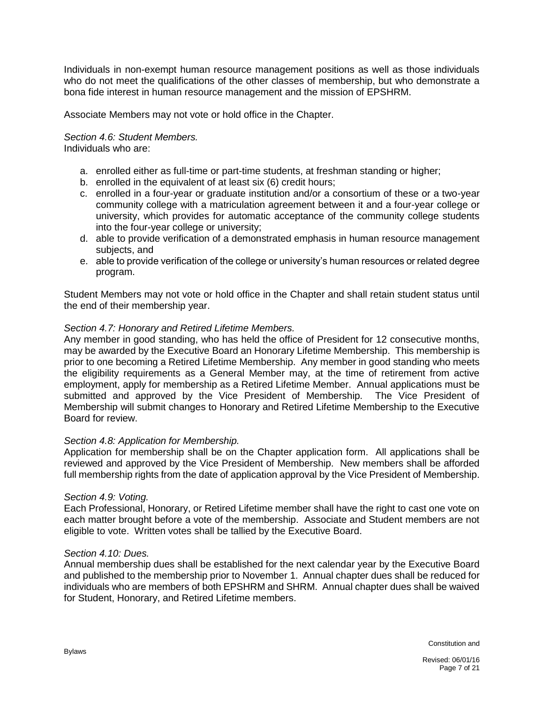Individuals in non-exempt human resource management positions as well as those individuals who do not meet the qualifications of the other classes of membership, but who demonstrate a bona fide interest in human resource management and the mission of EPSHRM.

Associate Members may not vote or hold office in the Chapter.

# *Section 4.6: Student Members.*

Individuals who are:

- a. enrolled either as full-time or part-time students, at freshman standing or higher;
- b. enrolled in the equivalent of at least six (6) credit hours;
- c. enrolled in a four-year or graduate institution and/or a consortium of these or a two-year community college with a matriculation agreement between it and a four-year college or university, which provides for automatic acceptance of the community college students into the four-year college or university;
- d. able to provide verification of a demonstrated emphasis in human resource management subjects, and
- e. able to provide verification of the college or university's human resources or related degree program.

Student Members may not vote or hold office in the Chapter and shall retain student status until the end of their membership year.

# *Section 4.7: Honorary and Retired Lifetime Members.*

Any member in good standing, who has held the office of President for 12 consecutive months, may be awarded by the Executive Board an Honorary Lifetime Membership. This membership is prior to one becoming a Retired Lifetime Membership. Any member in good standing who meets the eligibility requirements as a General Member may, at the time of retirement from active employment, apply for membership as a Retired Lifetime Member. Annual applications must be submitted and approved by the Vice President of Membership. The Vice President of Membership will submit changes to Honorary and Retired Lifetime Membership to the Executive Board for review.

#### *Section 4.8: Application for Membership.*

Application for membership shall be on the Chapter application form. All applications shall be reviewed and approved by the Vice President of Membership. New members shall be afforded full membership rights from the date of application approval by the Vice President of Membership.

#### *Section 4.9: Voting.*

Each Professional, Honorary, or Retired Lifetime member shall have the right to cast one vote on each matter brought before a vote of the membership. Associate and Student members are not eligible to vote. Written votes shall be tallied by the Executive Board.

#### *Section 4.10: Dues.*

Annual membership dues shall be established for the next calendar year by the Executive Board and published to the membership prior to November 1. Annual chapter dues shall be reduced for individuals who are members of both EPSHRM and SHRM. Annual chapter dues shall be waived for Student, Honorary, and Retired Lifetime members.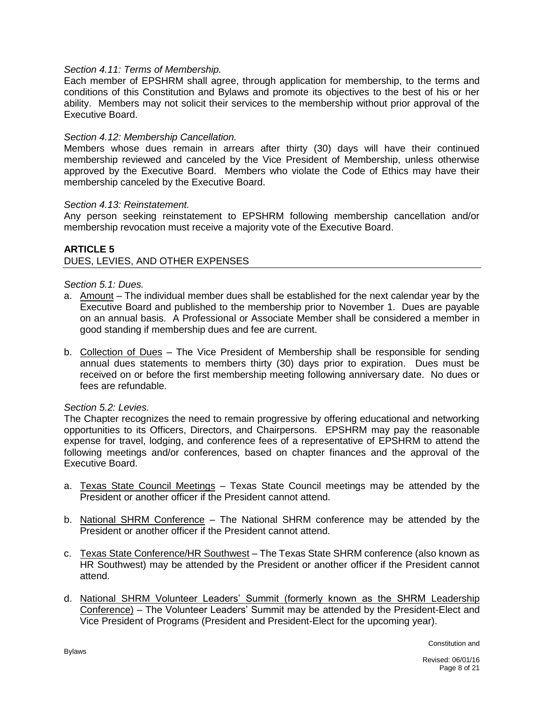#### *Section 4.11: Terms of Membership.*

Each member of EPSHRM shall agree, through application for membership, to the terms and conditions of this Constitution and Bylaws and promote its objectives to the best of his or her ability. Members may not solicit their services to the membership without prior approval of the Executive Board.

### *Section 4.12: Membership Cancellation.*

Members whose dues remain in arrears after thirty (30) days will have their continued membership reviewed and canceled by the Vice President of Membership, unless otherwise approved by the Executive Board. Members who violate the Code of Ethics may have their membership canceled by the Executive Board.

#### *Section 4.13: Reinstatement.*

Any person seeking reinstatement to EPSHRM following membership cancellation and/or membership revocation must receive a majority vote of the Executive Board.

#### **ARTICLE 5** DUES, LEVIES, AND OTHER EXPENSES

# *Section 5.1: Dues.*

- a. Amount The individual member dues shall be established for the next calendar year by the Executive Board and published to the membership prior to November 1. Dues are payable on an annual basis. A Professional or Associate Member shall be considered a member in good standing if membership dues and fee are current.
- b. Collection of Dues The Vice President of Membership shall be responsible for sending annual dues statements to members thirty (30) days prior to expiration. Dues must be received on or before the first membership meeting following anniversary date. No dues or fees are refundable.

#### *Section 5.2: Levies.*

The Chapter recognizes the need to remain progressive by offering educational and networking opportunities to its Officers, Directors, and Chairpersons. EPSHRM may pay the reasonable expense for travel, lodging, and conference fees of a representative of EPSHRM to attend the following meetings and/or conferences, based on chapter finances and the approval of the Executive Board.

- a. Texas State Council Meetings Texas State Council meetings may be attended by the President or another officer if the President cannot attend.
- b. National SHRM Conference The National SHRM conference may be attended by the President or another officer if the President cannot attend.
- c. Texas State Conference/HR Southwest The Texas State SHRM conference (also known as HR Southwest) may be attended by the President or another officer if the President cannot attend.
- d. National SHRM Volunteer Leaders' Summit (formerly known as the SHRM Leadership Conference) – The Volunteer Leaders' Summit may be attended by the President-Elect and Vice President of Programs (President and President-Elect for the upcoming year).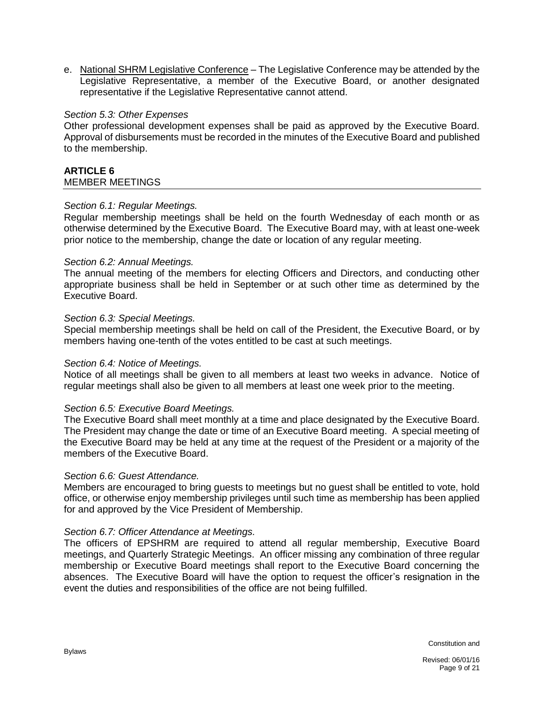e. National SHRM Legislative Conference – The Legislative Conference may be attended by the Legislative Representative, a member of the Executive Board, or another designated representative if the Legislative Representative cannot attend.

#### *Section 5.3: Other Expenses*

Other professional development expenses shall be paid as approved by the Executive Board. Approval of disbursements must be recorded in the minutes of the Executive Board and published to the membership.

#### **ARTICLE 6** MEMBER MEETINGS

#### *Section 6.1: Regular Meetings.*

Regular membership meetings shall be held on the fourth Wednesday of each month or as otherwise determined by the Executive Board. The Executive Board may, with at least one-week prior notice to the membership, change the date or location of any regular meeting.

#### *Section 6.2: Annual Meetings.*

The annual meeting of the members for electing Officers and Directors, and conducting other appropriate business shall be held in September or at such other time as determined by the Executive Board.

#### *Section 6.3: Special Meetings.*

Special membership meetings shall be held on call of the President, the Executive Board, or by members having one-tenth of the votes entitled to be cast at such meetings.

#### *Section 6.4: Notice of Meetings.*

Notice of all meetings shall be given to all members at least two weeks in advance. Notice of regular meetings shall also be given to all members at least one week prior to the meeting.

#### *Section 6.5: Executive Board Meetings.*

The Executive Board shall meet monthly at a time and place designated by the Executive Board. The President may change the date or time of an Executive Board meeting. A special meeting of the Executive Board may be held at any time at the request of the President or a majority of the members of the Executive Board.

#### *Section 6.6: Guest Attendance.*

Members are encouraged to bring guests to meetings but no guest shall be entitled to vote, hold office, or otherwise enjoy membership privileges until such time as membership has been applied for and approved by the Vice President of Membership.

#### *Section 6.7: Officer Attendance at Meetings.*

The officers of EPSHRM are required to attend all regular membership, Executive Board meetings, and Quarterly Strategic Meetings. An officer missing any combination of three regular membership or Executive Board meetings shall report to the Executive Board concerning the absences. The Executive Board will have the option to request the officer's resignation in the event the duties and responsibilities of the office are not being fulfilled.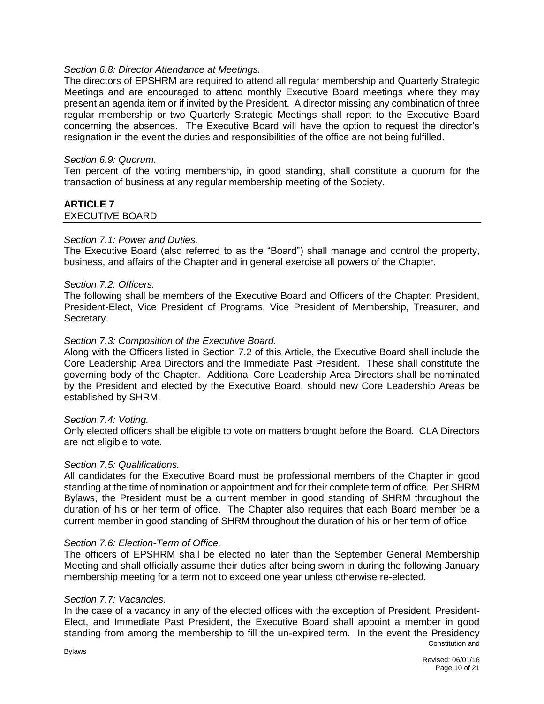#### *Section 6.8: Director Attendance at Meetings.*

The directors of EPSHRM are required to attend all regular membership and Quarterly Strategic Meetings and are encouraged to attend monthly Executive Board meetings where they may present an agenda item or if invited by the President. A director missing any combination of three regular membership or two Quarterly Strategic Meetings shall report to the Executive Board concerning the absences. The Executive Board will have the option to request the director's resignation in the event the duties and responsibilities of the office are not being fulfilled.

#### *Section 6.9: Quorum.*

Ten percent of the voting membership, in good standing, shall constitute a quorum for the transaction of business at any regular membership meeting of the Society.

# **ARTICLE 7** EXECUTIVE BOARD

#### *Section 7.1: Power and Duties.*

The Executive Board (also referred to as the "Board") shall manage and control the property, business, and affairs of the Chapter and in general exercise all powers of the Chapter.

#### *Section 7.2: Officers.*

The following shall be members of the Executive Board and Officers of the Chapter: President, President-Elect, Vice President of Programs, Vice President of Membership, Treasurer, and Secretary.

# *Section 7.3: Composition of the Executive Board.*

Along with the Officers listed in Section 7.2 of this Article, the Executive Board shall include the Core Leadership Area Directors and the Immediate Past President. These shall constitute the governing body of the Chapter. Additional Core Leadership Area Directors shall be nominated by the President and elected by the Executive Board, should new Core Leadership Areas be established by SHRM.

#### *Section 7.4: Voting.*

Only elected officers shall be eligible to vote on matters brought before the Board. CLA Directors are not eligible to vote.

#### *Section 7.5: Qualifications.*

All candidates for the Executive Board must be professional members of the Chapter in good standing at the time of nomination or appointment and for their complete term of office. Per SHRM Bylaws, the President must be a current member in good standing of SHRM throughout the duration of his or her term of office. The Chapter also requires that each Board member be a current member in good standing of SHRM throughout the duration of his or her term of office.

#### *Section 7.6: Election-Term of Office.*

The officers of EPSHRM shall be elected no later than the September General Membership Meeting and shall officially assume their duties after being sworn in during the following January membership meeting for a term not to exceed one year unless otherwise re-elected.

#### *Section 7.7: Vacancies.*

Constitution and In the case of a vacancy in any of the elected offices with the exception of President, President-Elect, and Immediate Past President, the Executive Board shall appoint a member in good standing from among the membership to fill the un-expired term. In the event the Presidency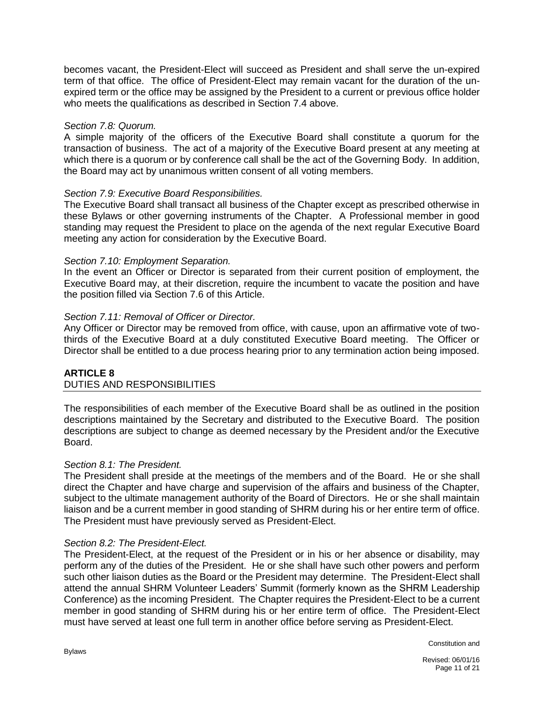becomes vacant, the President-Elect will succeed as President and shall serve the un-expired term of that office. The office of President-Elect may remain vacant for the duration of the unexpired term or the office may be assigned by the President to a current or previous office holder who meets the qualifications as described in Section 7.4 above.

# *Section 7.8: Quorum.*

A simple majority of the officers of the Executive Board shall constitute a quorum for the transaction of business. The act of a majority of the Executive Board present at any meeting at which there is a quorum or by conference call shall be the act of the Governing Body. In addition, the Board may act by unanimous written consent of all voting members.

# *Section 7.9: Executive Board Responsibilities.*

The Executive Board shall transact all business of the Chapter except as prescribed otherwise in these Bylaws or other governing instruments of the Chapter. A Professional member in good standing may request the President to place on the agenda of the next regular Executive Board meeting any action for consideration by the Executive Board.

# *Section 7.10: Employment Separation.*

In the event an Officer or Director is separated from their current position of employment, the Executive Board may, at their discretion, require the incumbent to vacate the position and have the position filled via Section 7.6 of this Article.

# *Section 7.11: Removal of Officer or Director.*

Any Officer or Director may be removed from office, with cause, upon an affirmative vote of twothirds of the Executive Board at a duly constituted Executive Board meeting. The Officer or Director shall be entitled to a due process hearing prior to any termination action being imposed.

# **ARTICLE 8** DUTIES AND RESPONSIBILITIES

The responsibilities of each member of the Executive Board shall be as outlined in the position descriptions maintained by the Secretary and distributed to the Executive Board. The position descriptions are subject to change as deemed necessary by the President and/or the Executive Board.

#### *Section 8.1: The President.*

The President shall preside at the meetings of the members and of the Board. He or she shall direct the Chapter and have charge and supervision of the affairs and business of the Chapter, subject to the ultimate management authority of the Board of Directors. He or she shall maintain liaison and be a current member in good standing of SHRM during his or her entire term of office. The President must have previously served as President-Elect.

#### *Section 8.2: The President-Elect.*

The President-Elect, at the request of the President or in his or her absence or disability, may perform any of the duties of the President. He or she shall have such other powers and perform such other liaison duties as the Board or the President may determine. The President-Elect shall attend the annual SHRM Volunteer Leaders' Summit (formerly known as the SHRM Leadership Conference) as the incoming President. The Chapter requires the President-Elect to be a current member in good standing of SHRM during his or her entire term of office. The President-Elect must have served at least one full term in another office before serving as President-Elect.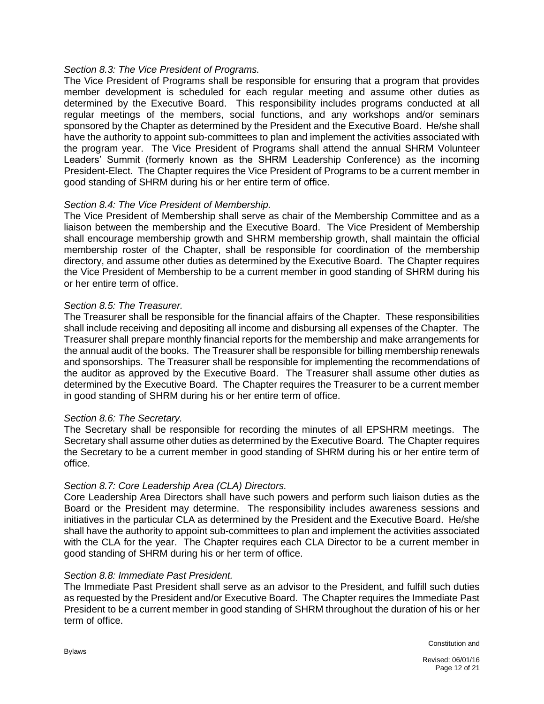# *Section 8.3: The Vice President of Programs.*

The Vice President of Programs shall be responsible for ensuring that a program that provides member development is scheduled for each regular meeting and assume other duties as determined by the Executive Board. This responsibility includes programs conducted at all regular meetings of the members, social functions, and any workshops and/or seminars sponsored by the Chapter as determined by the President and the Executive Board. He/she shall have the authority to appoint sub-committees to plan and implement the activities associated with the program year. The Vice President of Programs shall attend the annual SHRM Volunteer Leaders' Summit (formerly known as the SHRM Leadership Conference) as the incoming President-Elect. The Chapter requires the Vice President of Programs to be a current member in good standing of SHRM during his or her entire term of office.

# *Section 8.4: The Vice President of Membership.*

The Vice President of Membership shall serve as chair of the Membership Committee and as a liaison between the membership and the Executive Board. The Vice President of Membership shall encourage membership growth and SHRM membership growth, shall maintain the official membership roster of the Chapter, shall be responsible for coordination of the membership directory, and assume other duties as determined by the Executive Board. The Chapter requires the Vice President of Membership to be a current member in good standing of SHRM during his or her entire term of office.

# *Section 8.5: The Treasurer.*

The Treasurer shall be responsible for the financial affairs of the Chapter. These responsibilities shall include receiving and depositing all income and disbursing all expenses of the Chapter. The Treasurer shall prepare monthly financial reports for the membership and make arrangements for the annual audit of the books. The Treasurer shall be responsible for billing membership renewals and sponsorships. The Treasurer shall be responsible for implementing the recommendations of the auditor as approved by the Executive Board. The Treasurer shall assume other duties as determined by the Executive Board. The Chapter requires the Treasurer to be a current member in good standing of SHRM during his or her entire term of office.

#### *Section 8.6: The Secretary.*

The Secretary shall be responsible for recording the minutes of all EPSHRM meetings. The Secretary shall assume other duties as determined by the Executive Board. The Chapter requires the Secretary to be a current member in good standing of SHRM during his or her entire term of office.

#### *Section 8.7: Core Leadership Area (CLA) Directors.*

Core Leadership Area Directors shall have such powers and perform such liaison duties as the Board or the President may determine. The responsibility includes awareness sessions and initiatives in the particular CLA as determined by the President and the Executive Board. He/she shall have the authority to appoint sub-committees to plan and implement the activities associated with the CLA for the year. The Chapter requires each CLA Director to be a current member in good standing of SHRM during his or her term of office.

#### *Section 8.8: Immediate Past President.*

The Immediate Past President shall serve as an advisor to the President, and fulfill such duties as requested by the President and/or Executive Board. The Chapter requires the Immediate Past President to be a current member in good standing of SHRM throughout the duration of his or her term of office.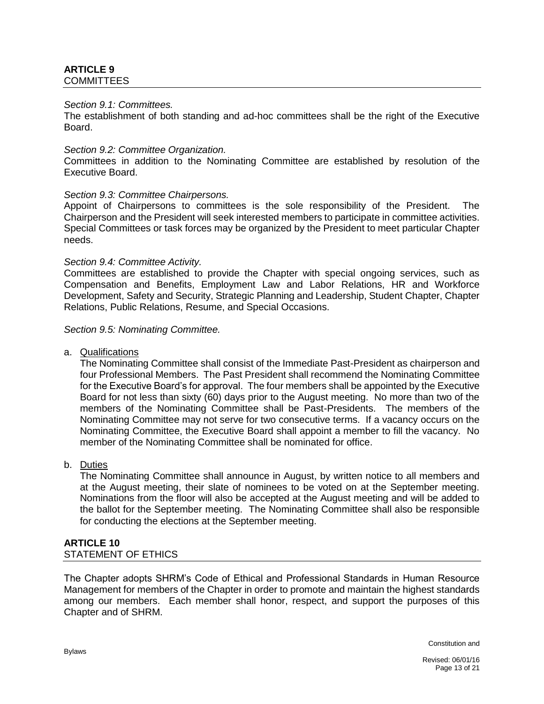### **ARTICLE 9** COMMITTEES

#### *Section 9.1: Committees.*

The establishment of both standing and ad-hoc committees shall be the right of the Executive Board.

#### *Section 9.2: Committee Organization.*

Committees in addition to the Nominating Committee are established by resolution of the Executive Board.

#### *Section 9.3: Committee Chairpersons.*

Appoint of Chairpersons to committees is the sole responsibility of the President. The Chairperson and the President will seek interested members to participate in committee activities. Special Committees or task forces may be organized by the President to meet particular Chapter needs.

#### *Section 9.4: Committee Activity.*

Committees are established to provide the Chapter with special ongoing services, such as Compensation and Benefits, Employment Law and Labor Relations, HR and Workforce Development, Safety and Security, Strategic Planning and Leadership, Student Chapter, Chapter Relations, Public Relations, Resume, and Special Occasions.

#### *Section 9.5: Nominating Committee.*

a. Qualifications

The Nominating Committee shall consist of the Immediate Past-President as chairperson and four Professional Members. The Past President shall recommend the Nominating Committee for the Executive Board's for approval. The four members shall be appointed by the Executive Board for not less than sixty (60) days prior to the August meeting. No more than two of the members of the Nominating Committee shall be Past-Presidents. The members of the Nominating Committee may not serve for two consecutive terms. If a vacancy occurs on the Nominating Committee, the Executive Board shall appoint a member to fill the vacancy. No member of the Nominating Committee shall be nominated for office.

#### b. Duties

The Nominating Committee shall announce in August, by written notice to all members and at the August meeting, their slate of nominees to be voted on at the September meeting. Nominations from the floor will also be accepted at the August meeting and will be added to the ballot for the September meeting. The Nominating Committee shall also be responsible for conducting the elections at the September meeting.

#### **ARTICLE 10** STATEMENT OF ETHICS

The Chapter adopts SHRM's Code of Ethical and Professional Standards in Human Resource Management for members of the Chapter in order to promote and maintain the highest standards among our members. Each member shall honor, respect, and support the purposes of this Chapter and of SHRM.

Constitution and

Revised: 06/01/16 Page 13 of 21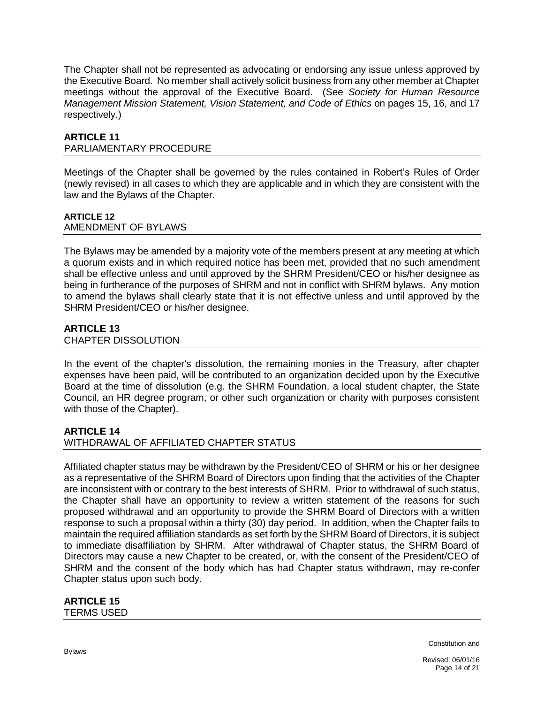The Chapter shall not be represented as advocating or endorsing any issue unless approved by the Executive Board. No member shall actively solicit business from any other member at Chapter meetings without the approval of the Executive Board. (See *Society for Human Resource Management Mission Statement, Vision Statement, and Code of Ethics* on pages 15, 16, and 17 respectively.)

# **ARTICLE 11**

# PARLIAMENTARY PROCEDURE

Meetings of the Chapter shall be governed by the rules contained in Robert's Rules of Order (newly revised) in all cases to which they are applicable and in which they are consistent with the law and the Bylaws of the Chapter.

# **ARTICLE 12**

# AMENDMENT OF BYLAWS

The Bylaws may be amended by a majority vote of the members present at any meeting at which a quorum exists and in which required notice has been met, provided that no such amendment shall be effective unless and until approved by the SHRM President/CEO or his/her designee as being in furtherance of the purposes of SHRM and not in conflict with SHRM bylaws. Any motion to amend the bylaws shall clearly state that it is not effective unless and until approved by the SHRM President/CEO or his/her designee.

# **ARTICLE 13**

# CHAPTER DISSOLUTION

In the event of the chapter's dissolution, the remaining monies in the Treasury, after chapter expenses have been paid, will be contributed to an organization decided upon by the Executive Board at the time of dissolution (e.g. the SHRM Foundation, a local student chapter, the State Council, an HR degree program, or other such organization or charity with purposes consistent with those of the Chapter).

# **ARTICLE 14**

# WITHDRAWAL OF AFFILIATED CHAPTER STATUS

Affiliated chapter status may be withdrawn by the President/CEO of SHRM or his or her designee as a representative of the SHRM Board of Directors upon finding that the activities of the Chapter are inconsistent with or contrary to the best interests of SHRM. Prior to withdrawal of such status, the Chapter shall have an opportunity to review a written statement of the reasons for such proposed withdrawal and an opportunity to provide the SHRM Board of Directors with a written response to such a proposal within a thirty (30) day period. In addition, when the Chapter fails to maintain the required affiliation standards as set forth by the SHRM Board of Directors, it is subject to immediate disaffiliation by SHRM. After withdrawal of Chapter status, the SHRM Board of Directors may cause a new Chapter to be created, or, with the consent of the President/CEO of SHRM and the consent of the body which has had Chapter status withdrawn, may re-confer Chapter status upon such body.

# **ARTICLE 15**

TERMS USED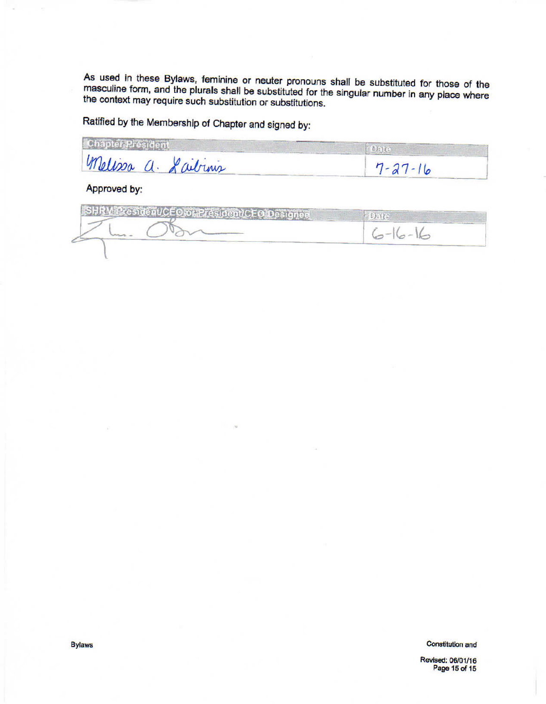As used in these Bylaws, feminine or neuter pronouns shall be substituted for those of the masculine form, and the plurals shall be substituted for the singular number in any place where the context may require such substitution or substitutions.

Ratified by the Membership of Chapter and signed by:

| melissa a. Laibinis | $7 - 27 - 16$ |
|---------------------|---------------|

Approved by:

|  | $\sim$ $\sim$ $\sim$ |
|--|----------------------|
|  |                      |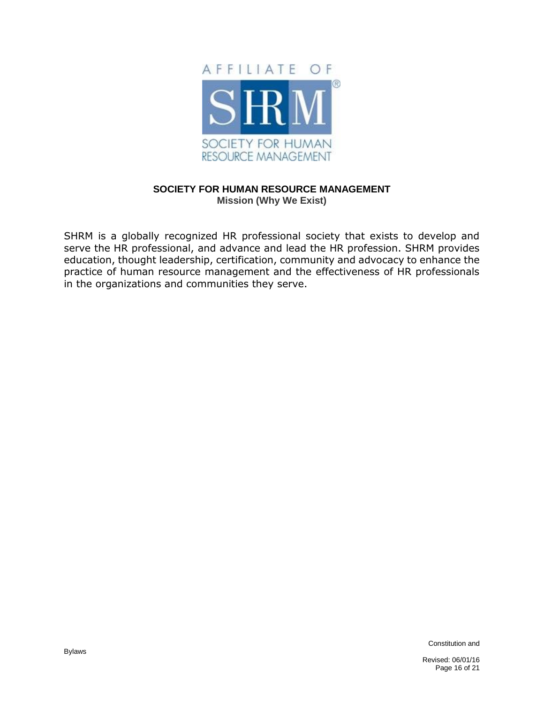

# **SOCIETY FOR HUMAN RESOURCE MANAGEMENT Mission (Why We Exist)**

SHRM is a globally recognized HR professional society that exists to develop and serve the HR professional, and advance and lead the HR profession. SHRM provides education, thought leadership, certification, community and advocacy to enhance the practice of human resource management and the effectiveness of HR professionals in the organizations and communities they serve.

Constitution and

Revised: 06/01/16 Page 16 of 21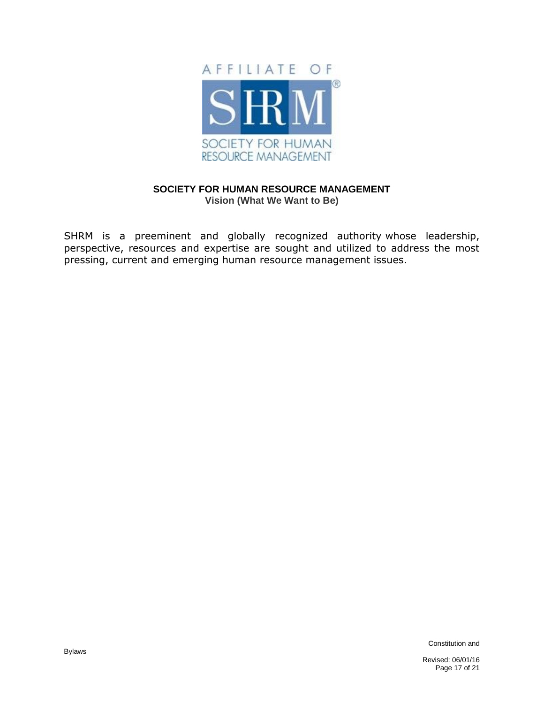

# **SOCIETY FOR HUMAN RESOURCE MANAGEMENT Vision (What We Want to Be)**

SHRM is a preeminent and globally recognized authority whose leadership, perspective, resources and expertise are sought and utilized to address the most pressing, current and emerging human resource management issues.

Constitution and

Revised: 06/01/16 Page 17 of 21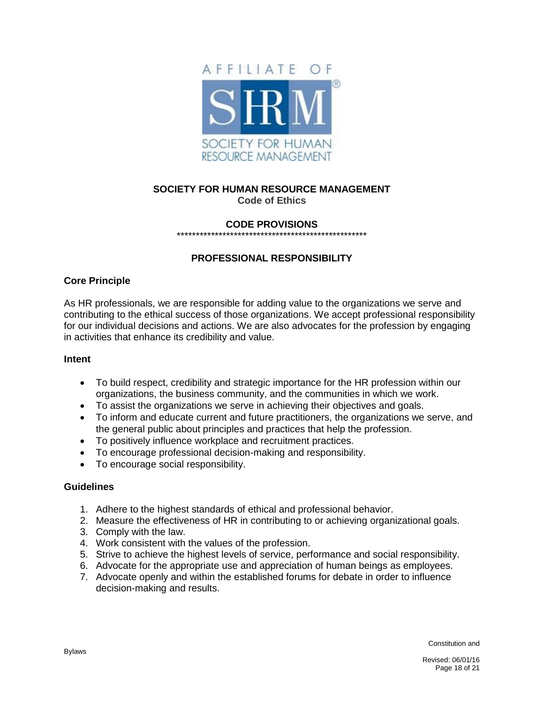

# **SOCIETY FOR HUMAN RESOURCE MANAGEMENT Code of Ethics**

#### **CODE PROVISIONS**  \*\*\*\*\*\*\*\*\*\*\*\*\*\*\*\*\*\*\*\*\*\*\*\*\*\*\*\*\*\*\*\*\*\*\*\*\*\*\*\*\*\*\*\*\*\*\*\*\*\*

# **PROFESSIONAL RESPONSIBILITY**

# **Core Principle**

As HR professionals, we are responsible for adding value to the organizations we serve and contributing to the ethical success of those organizations. We accept professional responsibility for our individual decisions and actions. We are also advocates for the profession by engaging in activities that enhance its credibility and value.

#### **Intent**

- To build respect, credibility and strategic importance for the HR profession within our organizations, the business community, and the communities in which we work.
- To assist the organizations we serve in achieving their objectives and goals.
- To inform and educate current and future practitioners, the organizations we serve, and the general public about principles and practices that help the profession.
- To positively influence workplace and recruitment practices.
- To encourage professional decision-making and responsibility.
- To encourage social responsibility.

#### **Guidelines**

- 1. Adhere to the highest standards of ethical and professional behavior.
- 2. Measure the effectiveness of HR in contributing to or achieving organizational goals.
- 3. Comply with the law.
- 4. Work consistent with the values of the profession.
- 5. Strive to achieve the highest levels of service, performance and social responsibility.
- 6. Advocate for the appropriate use and appreciation of human beings as employees.
- 7. Advocate openly and within the established forums for debate in order to influence decision-making and results.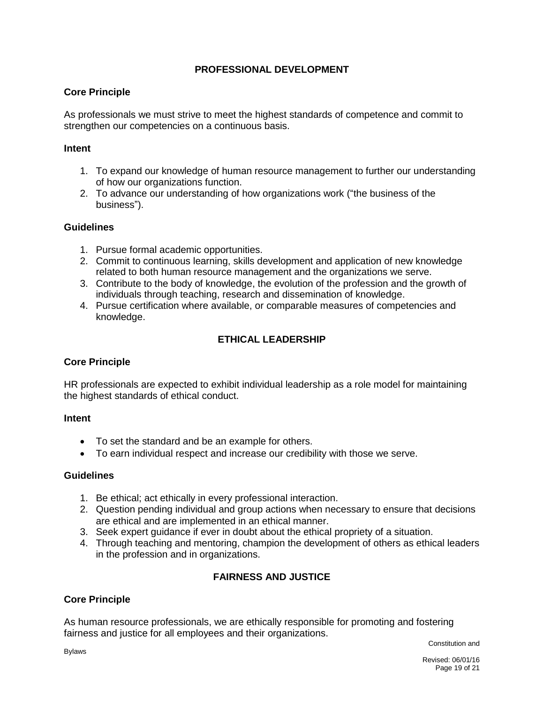# **PROFESSIONAL DEVELOPMENT**

# **Core Principle**

As professionals we must strive to meet the highest standards of competence and commit to strengthen our competencies on a continuous basis.

### **Intent**

- 1. To expand our knowledge of human resource management to further our understanding of how our organizations function.
- 2. To advance our understanding of how organizations work ("the business of the business").

# **Guidelines**

- 1. Pursue formal academic opportunities.
- 2. Commit to continuous learning, skills development and application of new knowledge related to both human resource management and the organizations we serve.
- 3. Contribute to the body of knowledge, the evolution of the profession and the growth of individuals through teaching, research and dissemination of knowledge.
- 4. Pursue certification where available, or comparable measures of competencies and knowledge.

# **ETHICAL LEADERSHIP**

# **Core Principle**

HR professionals are expected to exhibit individual leadership as a role model for maintaining the highest standards of ethical conduct.

#### **Intent**

- To set the standard and be an example for others.
- To earn individual respect and increase our credibility with those we serve.

# **Guidelines**

- 1. Be ethical; act ethically in every professional interaction.
- 2. Question pending individual and group actions when necessary to ensure that decisions are ethical and are implemented in an ethical manner.
- 3. Seek expert guidance if ever in doubt about the ethical propriety of a situation.
- 4. Through teaching and mentoring, champion the development of others as ethical leaders in the profession and in organizations.

# **FAIRNESS AND JUSTICE**

# **Core Principle**

As human resource professionals, we are ethically responsible for promoting and fostering fairness and justice for all employees and their organizations.

Constitution and

Bylaws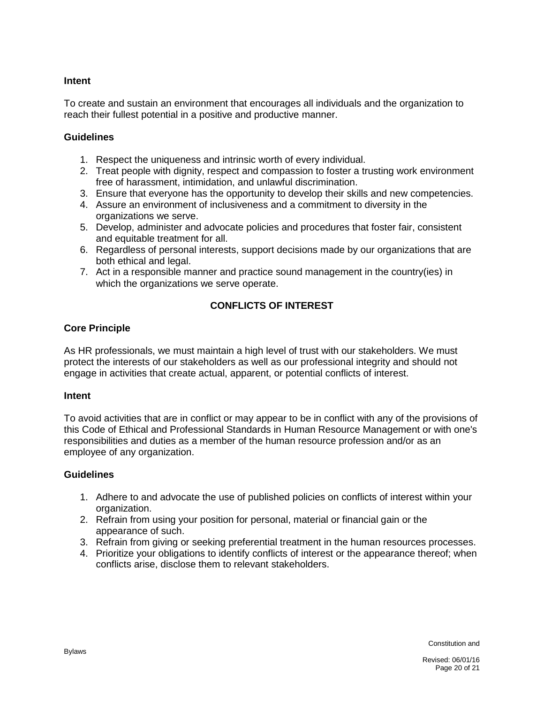# **Intent**

To create and sustain an environment that encourages all individuals and the organization to reach their fullest potential in a positive and productive manner.

# **Guidelines**

- 1. Respect the uniqueness and intrinsic worth of every individual.
- 2. Treat people with dignity, respect and compassion to foster a trusting work environment free of harassment, intimidation, and unlawful discrimination.
- 3. Ensure that everyone has the opportunity to develop their skills and new competencies.
- 4. Assure an environment of inclusiveness and a commitment to diversity in the organizations we serve.
- 5. Develop, administer and advocate policies and procedures that foster fair, consistent and equitable treatment for all.
- 6. Regardless of personal interests, support decisions made by our organizations that are both ethical and legal.
- 7. Act in a responsible manner and practice sound management in the country(ies) in which the organizations we serve operate.

# **CONFLICTS OF INTEREST**

# **Core Principle**

As HR professionals, we must maintain a high level of trust with our stakeholders. We must protect the interests of our stakeholders as well as our professional integrity and should not engage in activities that create actual, apparent, or potential conflicts of interest.

#### **Intent**

To avoid activities that are in conflict or may appear to be in conflict with any of the provisions of this Code of Ethical and Professional Standards in Human Resource Management or with one's responsibilities and duties as a member of the human resource profession and/or as an employee of any organization.

#### **Guidelines**

- 1. Adhere to and advocate the use of published policies on conflicts of interest within your organization.
- 2. Refrain from using your position for personal, material or financial gain or the appearance of such.
- 3. Refrain from giving or seeking preferential treatment in the human resources processes.
- 4. Prioritize your obligations to identify conflicts of interest or the appearance thereof; when conflicts arise, disclose them to relevant stakeholders.